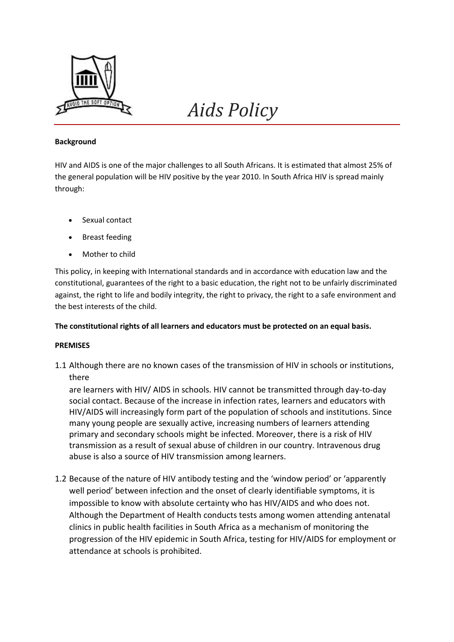

# *Aids Policy*

#### **Background**

HIV and AIDS is one of the major challenges to all South Africans. It is estimated that almost 25% of the general population will be HIV positive by the year 2010. In South Africa HIV is spread mainly through:

- Sexual contact
- Breast feeding
- Mother to child

This policy, in keeping with International standards and in accordance with education law and the constitutional, guarantees of the right to a basic education, the right not to be unfairly discriminated against, the right to life and bodily integrity, the right to privacy, the right to a safe environment and the best interests of the child.

#### **The constitutional rights of all learners and educators must be protected on an equal basis.**

#### **PREMISES**

1.1 Although there are no known cases of the transmission of HIV in schools or institutions, there

are learners with HIV/ AIDS in schools. HIV cannot be transmitted through day-to-day social contact. Because of the increase in infection rates, learners and educators with HIV/AIDS will increasingly form part of the population of schools and institutions. Since many young people are sexually active, increasing numbers of learners attending primary and secondary schools might be infected. Moreover, there is a risk of HIV transmission as a result of sexual abuse of children in our country. Intravenous drug abuse is also a source of HIV transmission among learners.

1.2 Because of the nature of HIV antibody testing and the 'window period' or 'apparently well period' between infection and the onset of clearly identifiable symptoms, it is impossible to know with absolute certainty who has HIV/AIDS and who does not. Although the Department of Health conducts tests among women attending antenatal clinics in public health facilities in South Africa as a mechanism of monitoring the progression of the HIV epidemic in South Africa, testing for HIV/AIDS for employment or attendance at schools is prohibited.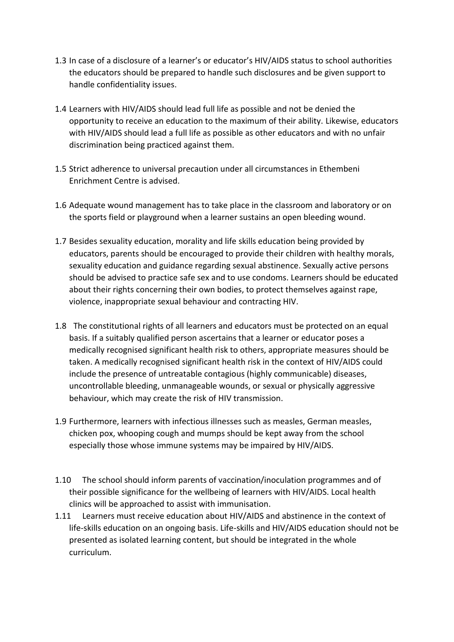- 1.3 In case of a disclosure of a learner's or educator's HIV/AIDS status to school authorities the educators should be prepared to handle such disclosures and be given support to handle confidentiality issues.
- 1.4 Learners with HIV/AIDS should lead full life as possible and not be denied the opportunity to receive an education to the maximum of their ability. Likewise, educators with HIV/AIDS should lead a full life as possible as other educators and with no unfair discrimination being practiced against them.
- 1.5 Strict adherence to universal precaution under all circumstances in Ethembeni Enrichment Centre is advised.
- 1.6 Adequate wound management has to take place in the classroom and laboratory or on the sports field or playground when a learner sustains an open bleeding wound.
- 1.7 Besides sexuality education, morality and life skills education being provided by educators, parents should be encouraged to provide their children with healthy morals, sexuality education and guidance regarding sexual abstinence. Sexually active persons should be advised to practice safe sex and to use condoms. Learners should be educated about their rights concerning their own bodies, to protect themselves against rape, violence, inappropriate sexual behaviour and contracting HIV.
- 1.8 The constitutional rights of all learners and educators must be protected on an equal basis. If a suitably qualified person ascertains that a learner or educator poses a medically recognised significant health risk to others, appropriate measures should be taken. A medically recognised significant health risk in the context of HIV/AIDS could include the presence of untreatable contagious (highly communicable) diseases, uncontrollable bleeding, unmanageable wounds, or sexual or physically aggressive behaviour, which may create the risk of HIV transmission.
- 1.9 Furthermore, learners with infectious illnesses such as measles, German measles, chicken pox, whooping cough and mumps should be kept away from the school especially those whose immune systems may be impaired by HIV/AIDS.
- 1.10 The school should inform parents of vaccination/inoculation programmes and of their possible significance for the wellbeing of learners with HIV/AIDS. Local health clinics will be approached to assist with immunisation.
- 1.11 Learners must receive education about HIV/AIDS and abstinence in the context of life-skills education on an ongoing basis. Life-skills and HIV/AIDS education should not be presented as isolated learning content, but should be integrated in the whole curriculum.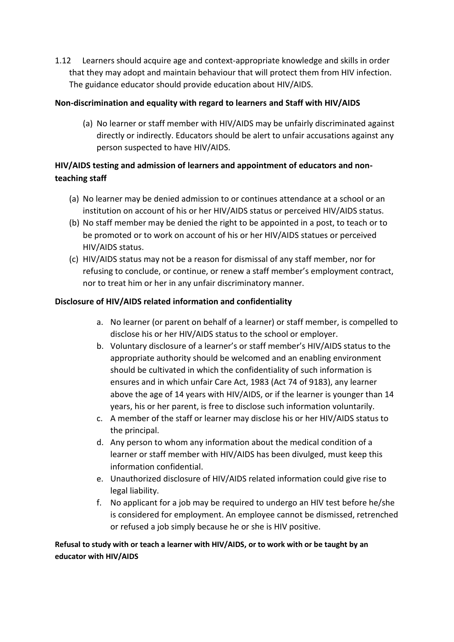1.12 Learners should acquire age and context-appropriate knowledge and skills in order that they may adopt and maintain behaviour that will protect them from HIV infection. The guidance educator should provide education about HIV/AIDS.

## **Non-discrimination and equality with regard to learners and Staff with HIV/AIDS**

(a) No learner or staff member with HIV/AIDS may be unfairly discriminated against directly or indirectly. Educators should be alert to unfair accusations against any person suspected to have HIV/AIDS.

# **HIV/AIDS testing and admission of learners and appointment of educators and nonteaching staff**

- (a) No learner may be denied admission to or continues attendance at a school or an institution on account of his or her HIV/AIDS status or perceived HIV/AIDS status.
- (b) No staff member may be denied the right to be appointed in a post, to teach or to be promoted or to work on account of his or her HIV/AIDS statues or perceived HIV/AIDS status.
- (c) HIV/AIDS status may not be a reason for dismissal of any staff member, nor for refusing to conclude, or continue, or renew a staff member's employment contract, nor to treat him or her in any unfair discriminatory manner.

## **Disclosure of HIV/AIDS related information and confidentiality**

- a. No learner (or parent on behalf of a learner) or staff member, is compelled to disclose his or her HIV/AIDS status to the school or employer.
- b. Voluntary disclosure of a learner's or staff member's HIV/AIDS status to the appropriate authority should be welcomed and an enabling environment should be cultivated in which the confidentiality of such information is ensures and in which unfair Care Act, 1983 (Act 74 of 9183), any learner above the age of 14 years with HIV/AIDS, or if the learner is younger than 14 years, his or her parent, is free to disclose such information voluntarily.
- c. A member of the staff or learner may disclose his or her HIV/AIDS status to the principal.
- d. Any person to whom any information about the medical condition of a learner or staff member with HIV/AIDS has been divulged, must keep this information confidential.
- e. Unauthorized disclosure of HIV/AIDS related information could give rise to legal liability.
- f. No applicant for a job may be required to undergo an HIV test before he/she is considered for employment. An employee cannot be dismissed, retrenched or refused a job simply because he or she is HIV positive.

**Refusal to study with or teach a learner with HIV/AIDS, or to work with or be taught by an educator with HIV/AIDS**